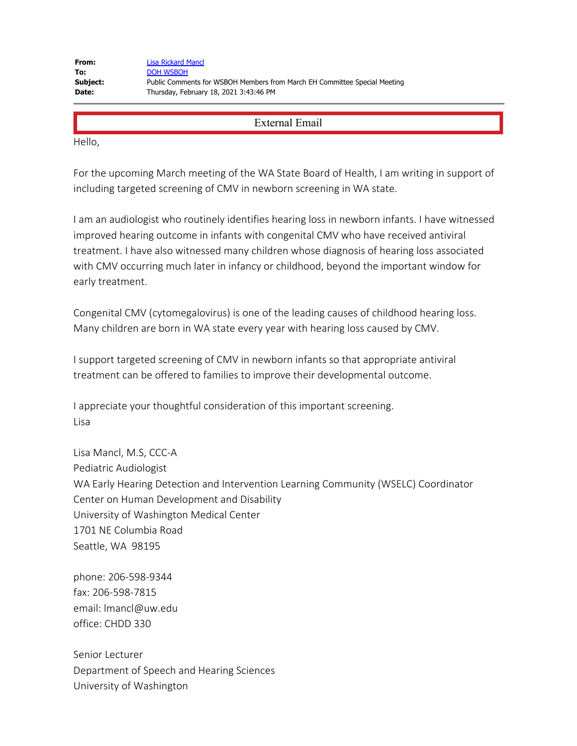Hello,

For the upcoming March meeting of the WA State Board of Health, I am writing in support of including targeted screening of CMV in newborn screening in WA state.

I am an audiologist who routinely identifies hearing loss in newborn infants. I have witnessed improved hearing outcome in infants with congenital CMV who have received antiviral treatment. I have also witnessed many children whose diagnosis of hearing loss associated with CMV occurring much later in infancy or childhood, beyond the important window for early treatment.

Congenital CMV (cytomegalovirus) is one of the leading causes of childhood hearing loss. Many children are born in WA state every year with hearing loss caused by CMV.

I support targeted screening of CMV in newborn infants so that appropriate antiviral treatment can be offered to families to improve their developmental outcome.

I appreciate your thoughtful consideration of this important screening. Lisa

Lisa Mancl, M.S, CCC-A Pediatric Audiologist WA Early Hearing Detection and Intervention Learning Community (WSELC) Coordinator Center on Human Development and Disability University of Washington Medical Center 1701 NE Columbia Road Seattle, WA 98195

phone: 206-598-9344 fax: 206-598-7815 email: lmancl@uw.edu office: CHDD 330

Senior Lecturer Department of Speech and Hearing Sciences University of Washington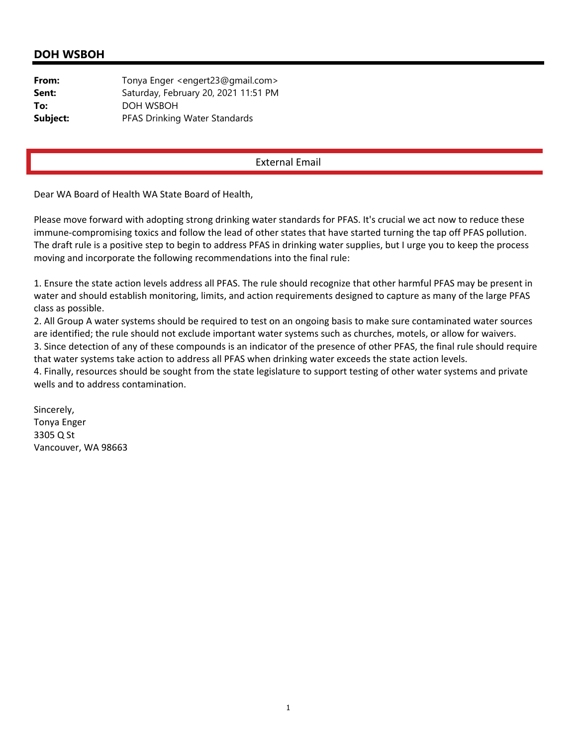# **DOH WSBOH**

| From:    | Tonya Enger <engert23@gmail.com></engert23@gmail.com> |
|----------|-------------------------------------------------------|
| Sent:    | Saturday, February 20, 2021 11:51 PM                  |
| To:      | DOH WSBOH                                             |
| Subject: | PFAS Drinking Water Standards                         |

## External Email

Dear WA Board of Health WA State Board of Health,

Please move forward with adopting strong drinking water standards for PFAS. It's crucial we act now to reduce these immune-compromising toxics and follow the lead of other states that have started turning the tap off PFAS pollution. The draft rule is a positive step to begin to address PFAS in drinking water supplies, but I urge you to keep the process moving and incorporate the following recommendations into the final rule:

1. Ensure the state action levels address all PFAS. The rule should recognize that other harmful PFAS may be present in water and should establish monitoring, limits, and action requirements designed to capture as many of the large PFAS class as possible.

2. All Group A water systems should be required to test on an ongoing basis to make sure contaminated water sources are identified; the rule should not exclude important water systems such as churches, motels, or allow for waivers.

3. Since detection of any of these compounds is an indicator of the presence of other PFAS, the final rule should require that water systems take action to address all PFAS when drinking water exceeds the state action levels.

4. Finally, resources should be sought from the state legislature to support testing of other water systems and private wells and to address contamination.

Sincerely, Tonya Enger 3305 Q St Vancouver, WA 98663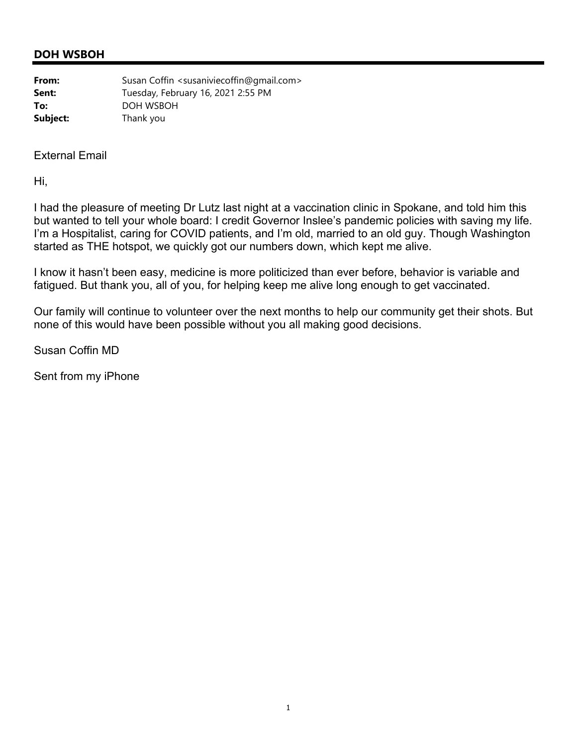# **DOH WSBOH**

| From:    | Susan Coffin <susaniviecoffin@gmail.com></susaniviecoffin@gmail.com> |
|----------|----------------------------------------------------------------------|
| Sent:    | Tuesday, February 16, 2021 2:55 PM                                   |
| To:      | DOH WSBOH                                                            |
| Subject: | Thank you                                                            |

## External Email

Hi,

I had the pleasure of meeting Dr Lutz last night at a vaccination clinic in Spokane, and told him this but wanted to tell your whole board: I credit Governor Inslee's pandemic policies with saving my life. I'm a Hospitalist, caring for COVID patients, and I'm old, married to an old guy. Though Washington started as THE hotspot, we quickly got our numbers down, which kept me alive.

I know it hasn't been easy, medicine is more politicized than ever before, behavior is variable and fatigued. But thank you, all of you, for helping keep me alive long enough to get vaccinated.

Our family will continue to volunteer over the next months to help our community get their shots. But none of this would have been possible without you all making good decisions.

Susan Coffin MD

Sent from my iPhone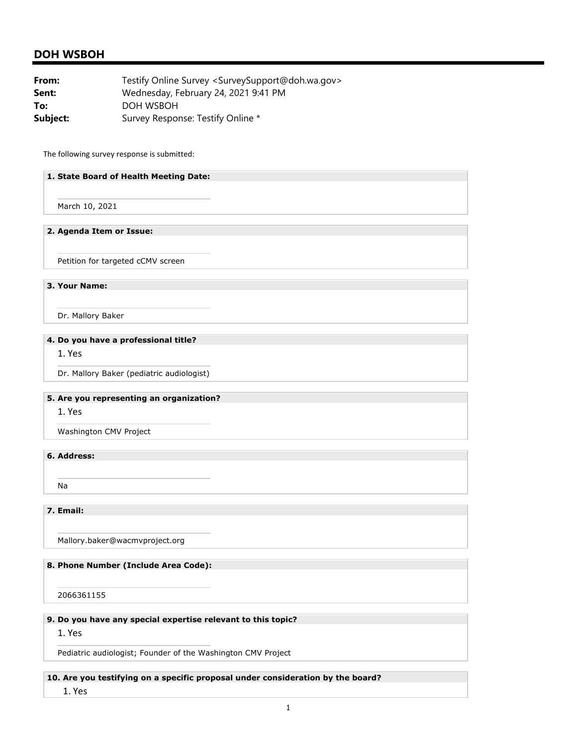## **DOH WSBOH**

| From:    | Testify Online Survey <surveysupport@doh.wa.gov></surveysupport@doh.wa.gov> |
|----------|-----------------------------------------------------------------------------|
| Sent:    | Wednesday, February 24, 2021 9:41 PM                                        |
| To:      | DOH WSBOH                                                                   |
| Subject: | Survey Response: Testify Online *                                           |

The following survey response is submitted:

#### **1. State Board of Health Meeting Date:**

March 10, 2021

#### **2. Agenda Item or Issue:**

Petition for targeted cCMV screen

 **3. Your Name:** 

Dr. Mallory Baker

#### **4. Do you have a professional title?**

1. Yes

Dr. Mallory Baker (pediatric audiologist)

#### **5. Are you representing an organization?**

1. Yes

Washington CMV Project

## **6. Address:**

Na

 **7. Email:** 

Mallory.baker@wacmvproject.org

### **8. Phone Number (Include Area Code):**

2066361155

#### **9. Do you have any special expertise relevant to this topic?**

#### 1. Yes

Pediatric audiologist; Founder of the Washington CMV Project

#### **10. Are you testifying on a specific proposal under consideration by the board?**

1. Yes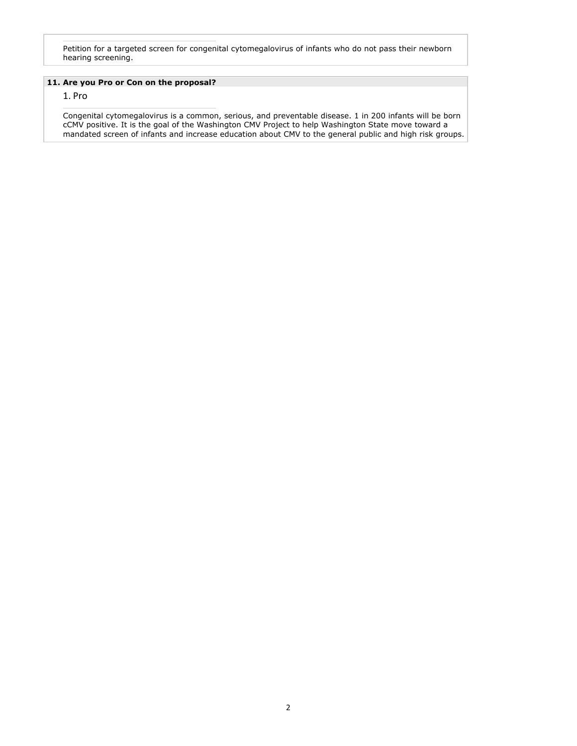Petition for a targeted screen for congenital cytomegalovirus of infants who do not pass their newborn hearing screening.

#### **11. Are you Pro or Con on the proposal?**

#### 1. Pro

 Congenital cytomegalovirus is a common, serious, and preventable disease. 1 in 200 infants will be born cCMV positive. It is the goal of the Washington CMV Project to help Washington State move toward a mandated screen of infants and increase education about CMV to the general public and high risk groups.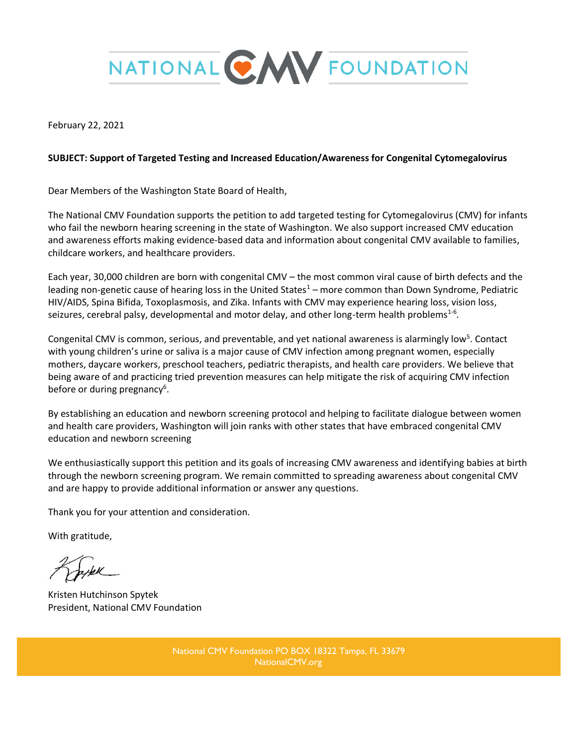

February 22, 2021

## **SUBJECT: Support of Targeted Testing and Increased Education/Awareness for Congenital Cytomegalovirus**

Dear Members of the Washington State Board of Health,

The National CMV Foundation supports the petition to add targeted testing for Cytomegalovirus (CMV) for infants who fail the newborn hearing screening in the state of Washington. We also support increased CMV education and awareness efforts making evidence-based data and information about congenital CMV available to families, childcare workers, and healthcare providers.

Each year, 30,000 children are born with congenital CMV – the most common viral cause of birth defects and the leading non-genetic cause of hearing loss in the United States $1 -$  more common than Down Syndrome, Pediatric HIV/AIDS, Spina Bifida, Toxoplasmosis, and Zika. Infants with CMV may experience hearing loss, vision loss, seizures, cerebral palsy, developmental and motor delay, and other long-term health problems<sup>1-6</sup>.

Congenital CMV is common, serious, and preventable, and yet national awareness is alarmingly low<sup>5</sup>. Contact with young children's urine or saliva is a major cause of CMV infection among pregnant women, especially mothers, daycare workers, preschool teachers, pediatric therapists, and health care providers. We believe that being aware of and practicing tried prevention measures can help mitigate the risk of acquiring CMV infection before or during pregnancy<sup>6</sup>.

By establishing an education and newborn screening protocol and helping to facilitate dialogue between women and health care providers, Washington will join ranks with other states that have embraced congenital CMV education and newborn screening

We enthusiastically support this petition and its goals of increasing CMV awareness and identifying babies at birth through the newborn screening program. We remain committed to spreading awareness about congenital CMV and are happy to provide additional information or answer any questions.

Thank you for your attention and consideration.

With gratitude,

Kristen Hutchinson Spytek President, National CMV Foundation

National CMV Foundation PO BOX 18322 Tampa, FL 33679 NationalCMV.org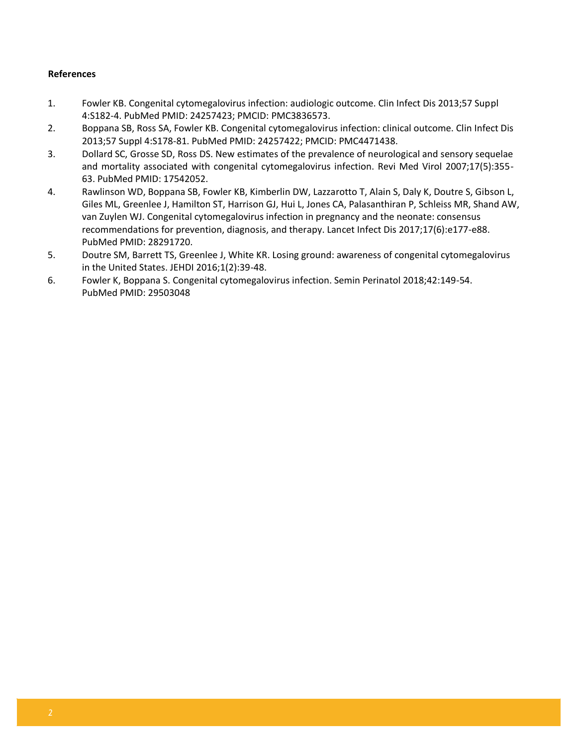## **References**

- 1. Fowler KB. Congenital cytomegalovirus infection: audiologic outcome. Clin Infect Dis 2013;57 Suppl 4:S182-4. PubMed PMID: 24257423; PMCID: PMC3836573.
- 2. Boppana SB, Ross SA, Fowler KB. Congenital cytomegalovirus infection: clinical outcome. Clin Infect Dis 2013;57 Suppl 4:S178-81. PubMed PMID: 24257422; PMCID: PMC4471438.
- 3. Dollard SC, Grosse SD, Ross DS. New estimates of the prevalence of neurological and sensory sequelae and mortality associated with congenital cytomegalovirus infection. Revi Med Virol 2007;17(5):355- 63. PubMed PMID: 17542052.
- 4. Rawlinson WD, Boppana SB, Fowler KB, Kimberlin DW, Lazzarotto T, Alain S, Daly K, Doutre S, Gibson L, Giles ML, Greenlee J, Hamilton ST, Harrison GJ, Hui L, Jones CA, Palasanthiran P, Schleiss MR, Shand AW, van Zuylen WJ. Congenital cytomegalovirus infection in pregnancy and the neonate: consensus recommendations for prevention, diagnosis, and therapy. Lancet Infect Dis 2017;17(6):e177-e88. PubMed PMID: 28291720.
- 5. Doutre SM, Barrett TS, Greenlee J, White KR. Losing ground: awareness of congenital cytomegalovirus in the United States. JEHDI 2016;1(2):39-48.
- 6. Fowler K, Boppana S. Congenital cytomegalovirus infection. Semin Perinatol 2018;42:149-54. PubMed PMID: 29503048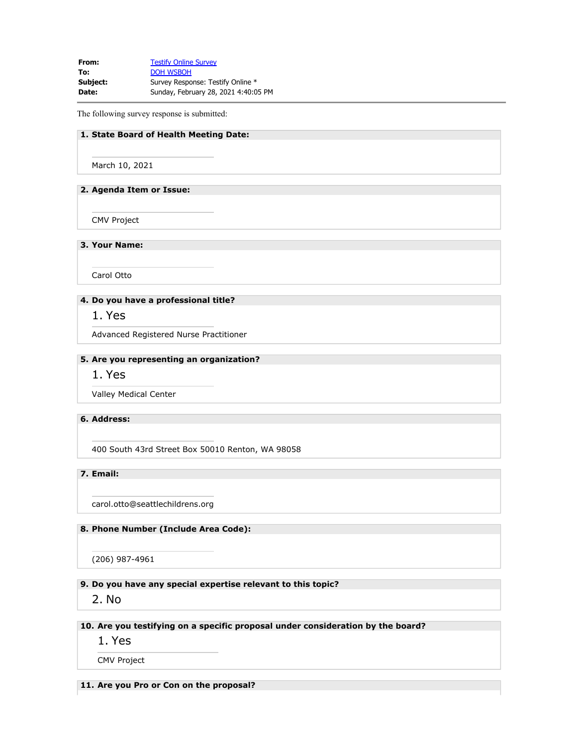**From:** [Testify Online Survey](mailto:SurveySupport@doh.wa.gov) To: **[DOH WSBOH](mailto:WSBOH@SBOH.WA.GOV) Subject:** Survey Response: Testify Online \* **Date:** Sunday, February 28, 2021 4:40:05 PM

The following survey response is submitted:

### **1. State Board of Health Meeting Date:**

March 10, 2021

#### **2. Agenda Item or Issue:**

CMV Project

**3. Your Name:**

Carol Otto

## **4. Do you have a professional title?**

1. Yes

Advanced Registered Nurse Practitioner

#### **5. Are you representing an organization?**

## 1. Yes

Valley Medical Center

#### **6. Address:**

400 South 43rd Street Box 50010 Renton, WA 98058

### **7. Email:**

carol.otto@seattlechildrens.org

#### **8. Phone Number (Include Area Code):**

(206) 987-4961

#### **9. Do you have any special expertise relevant to this topic?**

2. No

## **10. Are you testifying on a specific proposal under consideration by the board?**

1. Yes

CMV Project

#### **11. Are you Pro or Con on the proposal?**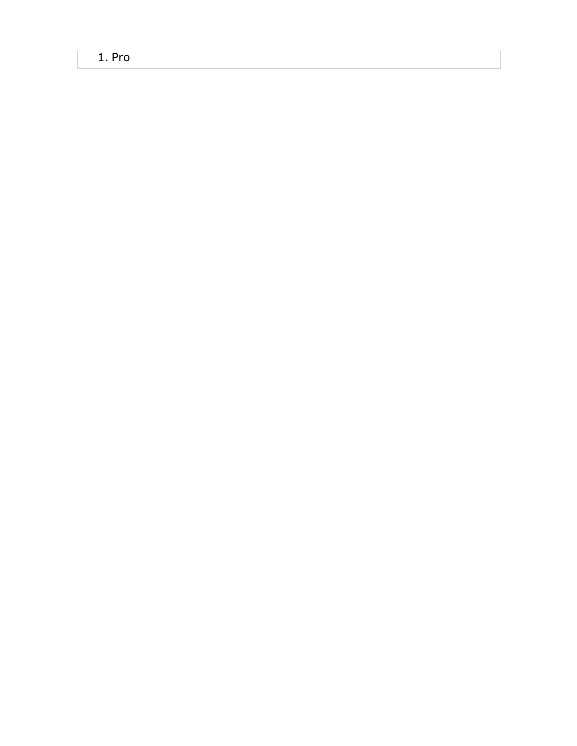1. Pro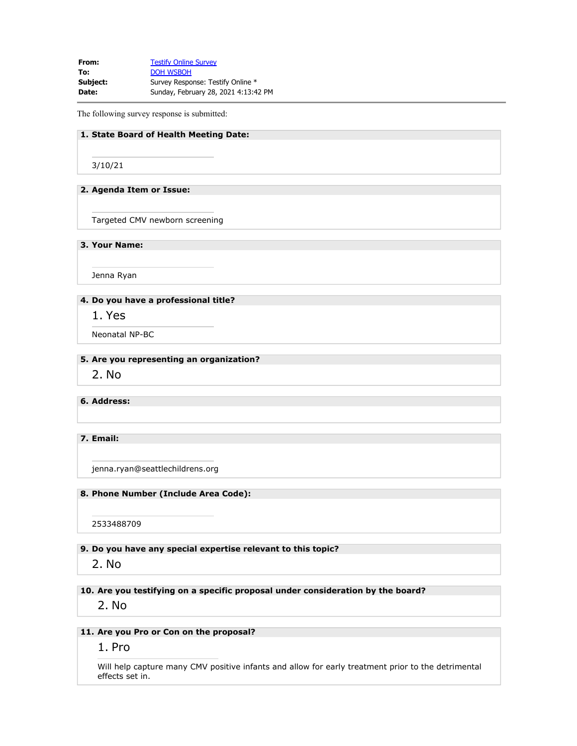**From:** [Testify Online Survey](mailto:SurveySupport@doh.wa.gov) To: **[DOH WSBOH](mailto:WSBOH@SBOH.WA.GOV) Subject:** Survey Response: Testify Online \* **Date:** Sunday, February 28, 2021 4:13:42 PM

The following survey response is submitted:

### **1. State Board of Health Meeting Date:**

3/10/21

#### **2. Agenda Item or Issue:**

Targeted CMV newborn screening

**3. Your Name:**

Jenna Ryan

## **4. Do you have a professional title?**

1. Yes

Neonatal NP-BC

#### **5. Are you representing an organization?**

2. No

**6. Address:**

### **7. Email:**

jenna.ryan@seattlechildrens.org

### **8. Phone Number (Include Area Code):**

2533488709

**9. Do you have any special expertise relevant to this topic?**

## 2. No

**10. Are you testifying on a specific proposal under consideration by the board?**

2. No

## **11. Are you Pro or Con on the proposal?**

## 1. Pro

Will help capture many CMV positive infants and allow for early treatment prior to the detrimental effects set in.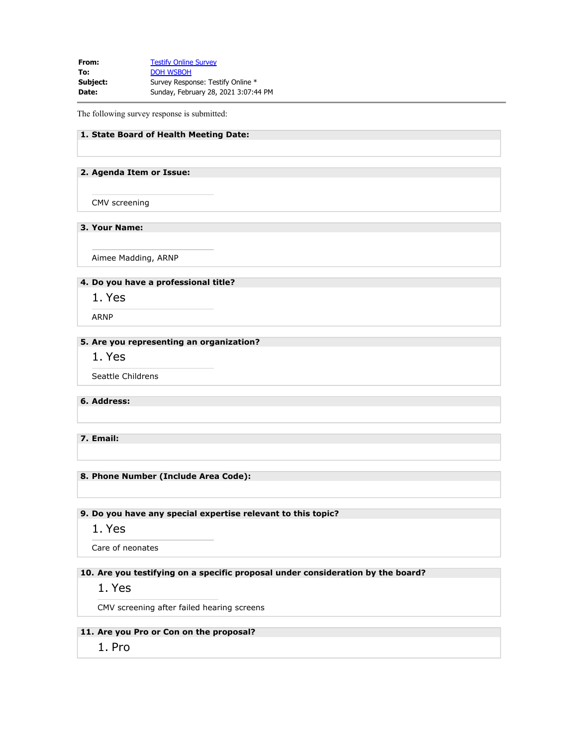**From:** [Testify Online Survey](mailto:SurveySupport@doh.wa.gov) To: **[DOH WSBOH](mailto:WSBOH@SBOH.WA.GOV) Subject:** Survey Response: Testify Online \* **Date:** Sunday, February 28, 2021 3:07:44 PM

The following survey response is submitted:

## **1. State Board of Health Meeting Date:**

#### **2. Agenda Item or Issue:**

CMV screening

## **3. Your Name:**

Aimee Madding, ARNP

#### **4. Do you have a professional title?**

1. Yes

ARNP

## **5. Are you representing an organization?**

1. Yes

Seattle Childrens

**6. Address:**

**7. Email:**

**8. Phone Number (Include Area Code):**

## **9. Do you have any special expertise relevant to this topic?**

1. Yes

Care of neonates

### **10. Are you testifying on a specific proposal under consideration by the board?**

1. Yes

CMV screening after failed hearing screens

## **11. Are you Pro or Con on the proposal?**

1. Pro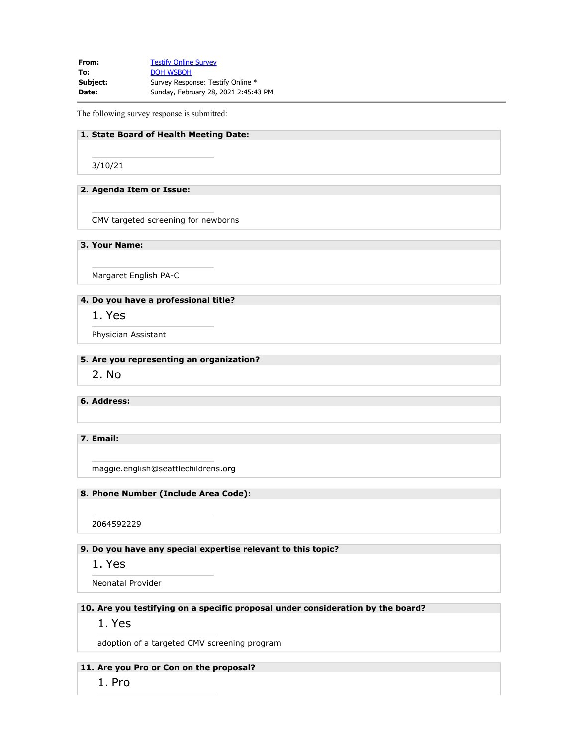**From:** [Testify Online Survey](mailto:SurveySupport@doh.wa.gov) To: **[DOH WSBOH](mailto:WSBOH@SBOH.WA.GOV) Subject:** Survey Response: Testify Online \* **Date:** Sunday, February 28, 2021 2:45:43 PM

The following survey response is submitted:

### **1. State Board of Health Meeting Date:**

3/10/21

#### **2. Agenda Item or Issue:**

CMV targeted screening for newborns

**3. Your Name:**

Margaret English PA-C

## **4. Do you have a professional title?**

1. Yes

Physician Assistant

#### **5. Are you representing an organization?**

2. No

## **6. Address:**

### **7. Email:**

maggie.english@seattlechildrens.org

#### **8. Phone Number (Include Area Code):**

2064592229

## **9. Do you have any special expertise relevant to this topic?**

1. Yes

Neonatal Provider

### **10. Are you testifying on a specific proposal under consideration by the board?**

## 1. Yes

adoption of a targeted CMV screening program

**11. Are you Pro or Con on the proposal?**

1. Pro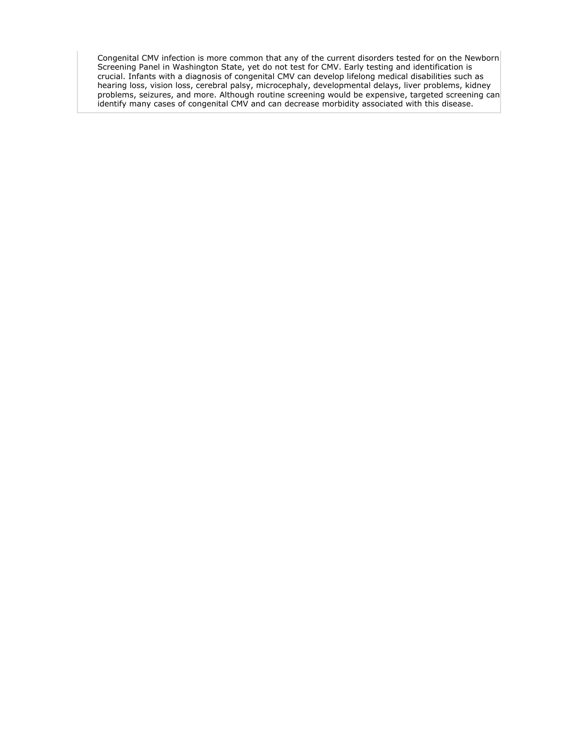Congenital CMV infection is more common that any of the current disorders tested for on the Newborn Screening Panel in Washington State, yet do not test for CMV. Early testing and identification is crucial. Infants with a diagnosis of congenital CMV can develop lifelong medical disabilities such as hearing loss, vision loss, cerebral palsy, microcephaly, developmental delays, liver problems, kidney problems, seizures, and more. Although routine screening would be expensive, targeted screening can identify many cases of congenital CMV and can decrease morbidity associated with this disease.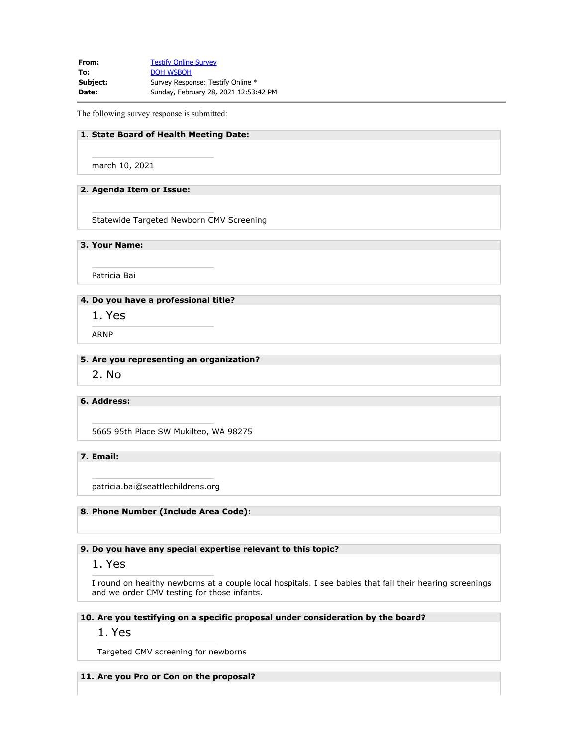**From:** [Testify Online Survey](mailto:SurveySupport@doh.wa.gov) To: **[DOH WSBOH](mailto:WSBOH@SBOH.WA.GOV) Subject:** Survey Response: Testify Online \* **Date:** Sunday, February 28, 2021 12:53:42 PM

The following survey response is submitted:

### **1. State Board of Health Meeting Date:**

march 10, 2021

#### **2. Agenda Item or Issue:**

Statewide Targeted Newborn CMV Screening

**3. Your Name:**

Patricia Bai

## **4. Do you have a professional title?**

1. Yes

ARNP

#### **5. Are you representing an organization?**

2. No

### **6. Address:**

5665 95th Place SW Mukilteo, WA 98275

**7. Email:**

patricia.bai@seattlechildrens.org

#### **8. Phone Number (Include Area Code):**

#### **9. Do you have any special expertise relevant to this topic?**

## 1. Yes

I round on healthy newborns at a couple local hospitals. I see babies that fail their hearing screenings and we order CMV testing for those infants.

## **10. Are you testifying on a specific proposal under consideration by the board?**

## 1. Yes

Targeted CMV screening for newborns

#### **11. Are you Pro or Con on the proposal?**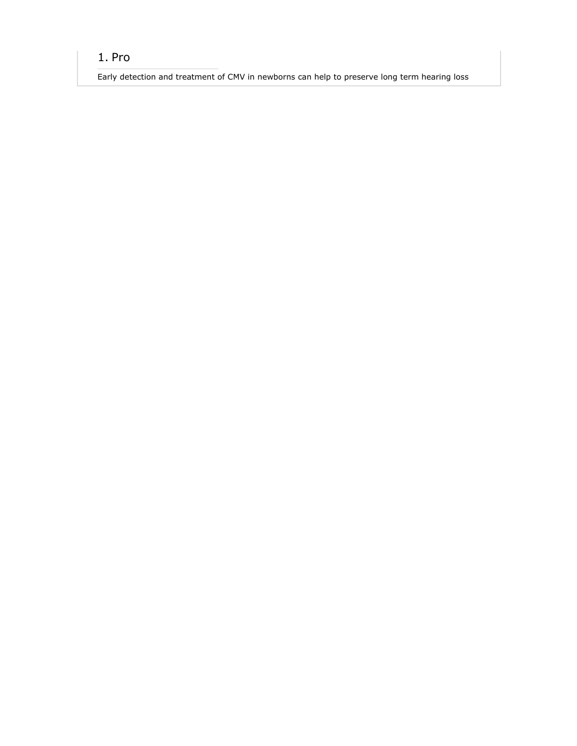# 1. Pro

Early detection and treatment of CMV in newborns can help to preserve long term hearing loss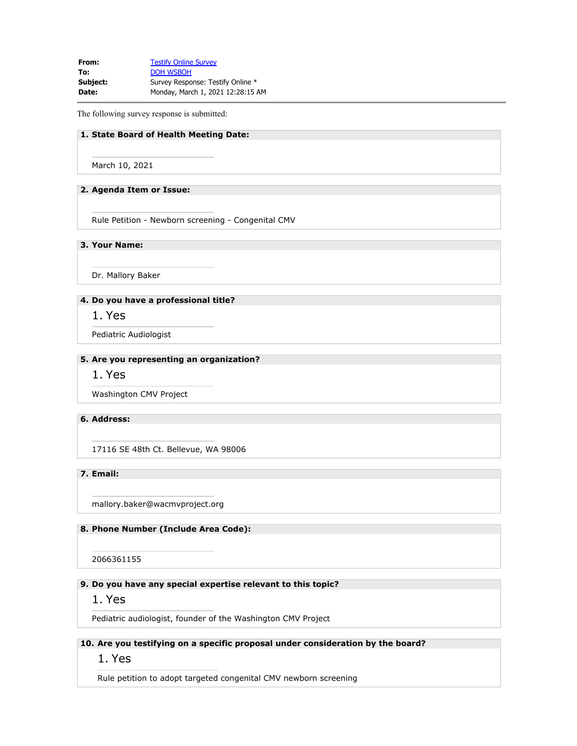**From:** [Testify Online Survey](mailto:SurveySupport@doh.wa.gov) To: **[DOH WSBOH](mailto:WSBOH@SBOH.WA.GOV) Subject:** Survey Response: Testify Online \* **Date:** Monday, March 1, 2021 12:28:15 AM

The following survey response is submitted:

### **1. State Board of Health Meeting Date:**

March 10, 2021

#### **2. Agenda Item or Issue:**

Rule Petition - Newborn screening - Congenital CMV

**3. Your Name:**

Dr. Mallory Baker

## **4. Do you have a professional title?**

1. Yes

Pediatric Audiologist

#### **5. Are you representing an organization?**

1. Yes

Washington CMV Project

#### **6. Address:**

17116 SE 48th Ct. Bellevue, WA 98006

**7. Email:**

mallory.baker@wacmvproject.org

#### **8. Phone Number (Include Area Code):**

2066361155

#### **9. Do you have any special expertise relevant to this topic?**

1. Yes

Pediatric audiologist, founder of the Washington CMV Project

## **10. Are you testifying on a specific proposal under consideration by the board?**

## 1. Yes

Rule petition to adopt targeted congenital CMV newborn screening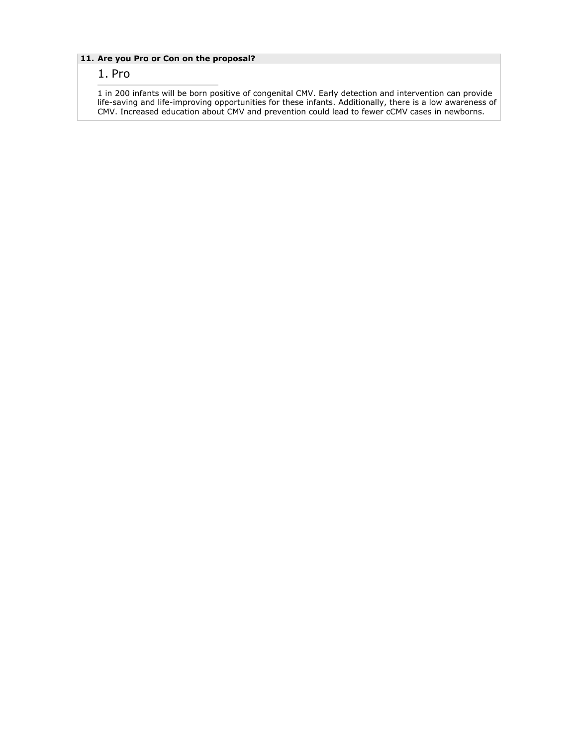## **11. Are you Pro or Con on the proposal?**

## 1. Pro

1 in 200 infants will be born positive of congenital CMV. Early detection and intervention can provide life-saving and life-improving opportunities for these infants. Additionally, there is a low awareness of CMV. Increased education about CMV and prevention could lead to fewer cCMV cases in newborns.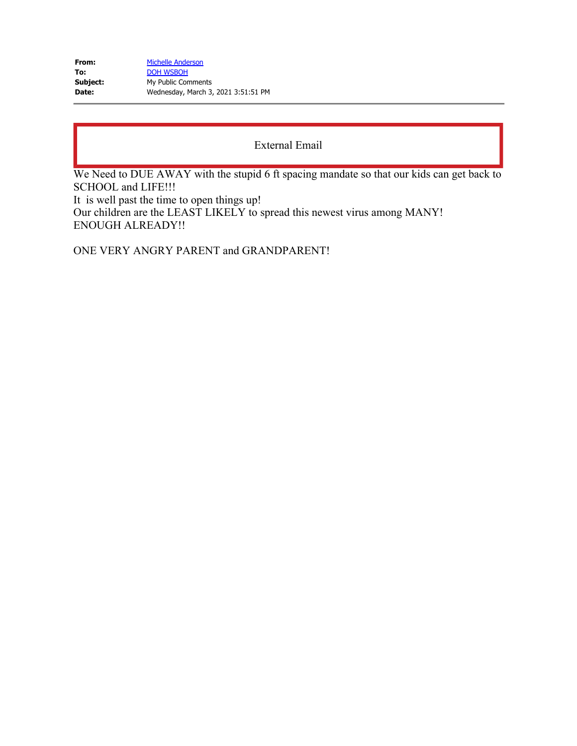| From:    | <b>Michelle Anderson</b>            |
|----------|-------------------------------------|
| To:      | <b>DOH WSBOH</b>                    |
| Subject: | My Public Comments                  |
| Date:    | Wednesday, March 3, 2021 3:51:51 PM |

We Need to DUE AWAY with the stupid 6 ft spacing mandate so that our kids can get back to SCHOOL and LIFE!!!

It is well past the time to open things up! Our children are the LEAST LIKELY to spread this newest virus among MANY! ENOUGH ALREADY!!

ONE VERY ANGRY PARENT and GRANDPARENT!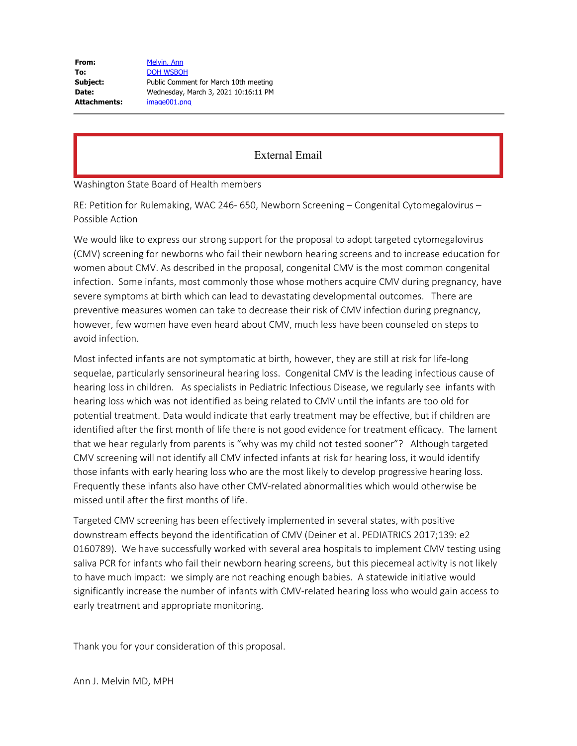Washington State Board of Health members

RE: Petition for Rulemaking, WAC 246- 650, Newborn Screening – Congenital Cytomegalovirus – Possible Action

We would like to express our strong support for the proposal to adopt targeted cytomegalovirus (CMV) screening for newborns who fail their newborn hearing screens and to increase education for women about CMV. As described in the proposal, congenital CMV is the most common congenital infection. Some infants, most commonly those whose mothers acquire CMV during pregnancy, have severe symptoms at birth which can lead to devastating developmental outcomes. There are preventive measures women can take to decrease their risk of CMV infection during pregnancy, however, few women have even heard about CMV, much less have been counseled on steps to avoid infection.

Most infected infants are not symptomatic at birth, however, they are still at risk for life-long sequelae, particularly sensorineural hearing loss. Congenital CMV is the leading infectious cause of hearing loss in children. As specialists in Pediatric Infectious Disease, we regularly see infants with hearing loss which was not identified as being related to CMV until the infants are too old for potential treatment. Data would indicate that early treatment may be effective, but if children are identified after the first month of life there is not good evidence for treatment efficacy. The lament that we hear regularly from parents is "why was my child not tested sooner"? Although targeted CMV screening will not identify all CMV infected infants at risk for hearing loss, it would identify those infants with early hearing loss who are the most likely to develop progressive hearing loss. Frequently these infants also have other CMV-related abnormalities which would otherwise be missed until after the first months of life.

Targeted CMV screening has been effectively implemented in several states, with positive downstream effects beyond the identification of CMV (Deiner et al. PEDIATRICS 2017;139: e2 0160789). We have successfully worked with several area hospitals to implement CMV testing using saliva PCR for infants who fail their newborn hearing screens, but this piecemeal activity is not likely to have much impact: we simply are not reaching enough babies. A statewide initiative would significantly increase the number of infants with CMV-related hearing loss who would gain access to early treatment and appropriate monitoring.

Thank you for your consideration of this proposal.

Ann J. Melvin MD, MPH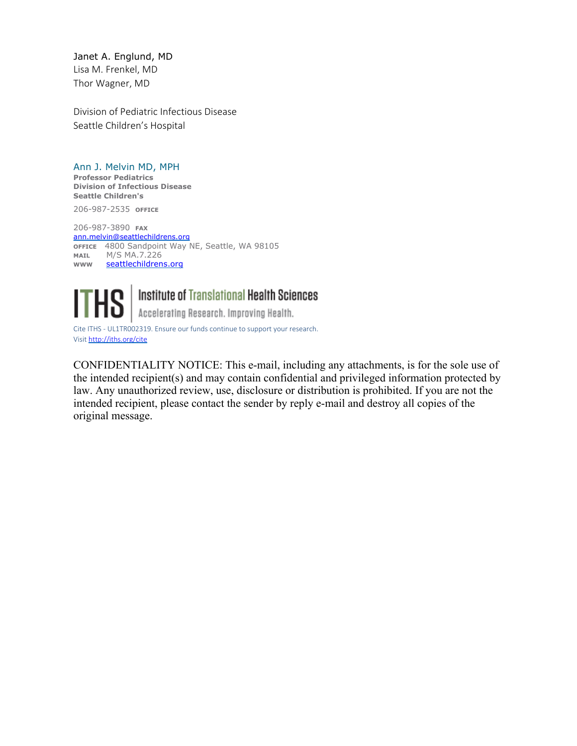Janet A. Englund, MD Lisa M. Frenkel, MD Thor Wagner, MD

Division of Pediatric Infectious Disease Seattle Children's Hospital

## Ann J. Melvin MD, MPH

**Professor Pediatrics Division of Infectious Disease Seattle Children's**

206-987-2535 **OFFICE**

206-987-3890 **FAX** [ann.melvin@seattlechildrens.org](mailto:ann.melvin@seattlechildrens.org) **OFFICE** 4800 Sandpoint Way NE, Seattle, WA 98105 **MAIL** M/S MA.7.226 www [seattlechildrens.org](https://gcc02.safelinks.protection.outlook.com/?url=http%3A%2F%2Fseattlechildrens.org%2F&data=04%7C01%7Cwsboh%40sboh.wa.gov%7Cd40f1f4206cf4cb5db6108d8ded500a8%7C11d0e217264e400a8ba057dcc127d72d%7C0%7C0%7C637504353713486147%7CUnknown%7CTWFpbGZsb3d8eyJWIjoiMC4wLjAwMDAiLCJQIjoiV2luMzIiLCJBTiI6Ik1haWwiLCJXVCI6Mn0%3D%7C1000&sdata=epJqDPT57ir2IYF8wHn1ID3xMJLH%2BOx2WNzXvgjxWlY%3D&reserved=0)



**THS** | Institute of Translational Health Scie<br>Accelerating Research, Improving Health, Institute of Translational Health Sciences

Cite ITHS - UL1TR002319. Ensure our funds continue to support your research. Visit [http://iths.org/cite](https://gcc02.safelinks.protection.outlook.com/?url=http%3A%2F%2Fiths.org%2Fcite&data=04%7C01%7Cwsboh%40sboh.wa.gov%7Cd40f1f4206cf4cb5db6108d8ded500a8%7C11d0e217264e400a8ba057dcc127d72d%7C0%7C0%7C637504353713496105%7CUnknown%7CTWFpbGZsb3d8eyJWIjoiMC4wLjAwMDAiLCJQIjoiV2luMzIiLCJBTiI6Ik1haWwiLCJXVCI6Mn0%3D%7C1000&sdata=ZVGMk9JM%2FDBl0tjeOs8TiR7acb2ddub73DkL3CayRxs%3D&reserved=0)

CONFIDENTIALITY NOTICE: This e-mail, including any attachments, is for the sole use of the intended recipient(s) and may contain confidential and privileged information protected by law. Any unauthorized review, use, disclosure or distribution is prohibited. If you are not the intended recipient, please contact the sender by reply e-mail and destroy all copies of the original message.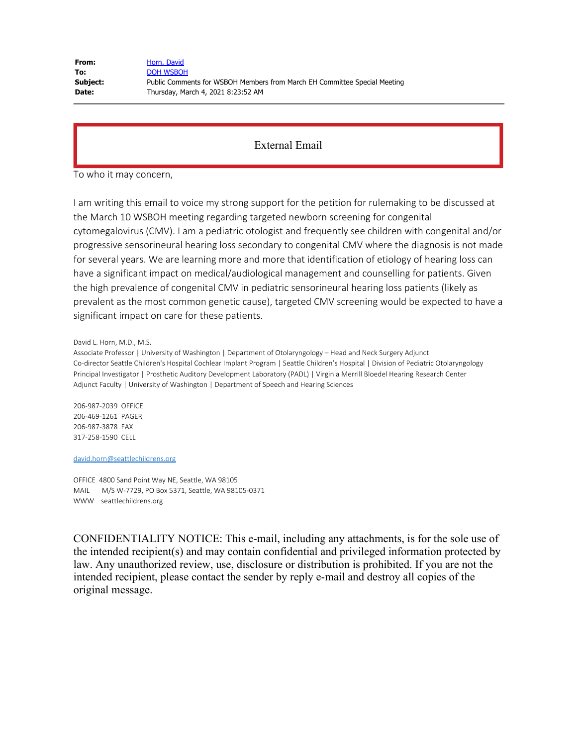| Horn, David                                                               |
|---------------------------------------------------------------------------|
| <b>DOH WSBOH</b>                                                          |
| Public Comments for WSBOH Members from March EH Committee Special Meeting |
| Thursday, March 4, 2021 8:23:52 AM                                        |
|                                                                           |

To who it may concern,

I am writing this email to voice my strong support for the petition for rulemaking to be discussed at the March 10 WSBOH meeting regarding targeted newborn screening for congenital cytomegalovirus (CMV). I am a pediatric otologist and frequently see children with congenital and/or progressive sensorineural hearing loss secondary to congenital CMV where the diagnosis is not made for several years. We are learning more and more that identification of etiology of hearing loss can have a significant impact on medical/audiological management and counselling for patients. Given the high prevalence of congenital CMV in pediatric sensorineural hearing loss patients (likely as prevalent as the most common genetic cause), targeted CMV screening would be expected to have a significant impact on care for these patients.

David L. Horn, M.D., M.S.

Associate Professor | University of Washington | Department of Otolaryngology – Head and Neck Surgery Adjunct Co-director Seattle Children's Hospital Cochlear Implant Program | Seattle Children's Hospital | Division of Pediatric Otolaryngology Principal Investigator | Prosthetic Auditory Development Laboratory (PADL) | Virginia Merrill Bloedel Hearing Research Center Adjunct Faculty | University of Washington | Department of Speech and Hearing Sciences

206-987-2039 OFFICE 206-469-1261 PAGER 206-987-3878 FAX 317-258-1590 CELL

[david.horn@seattlechildrens.org](mailto:david.horn@seattlechildrens.org)

OFFICE 4800 Sand Point Way NE, Seattle, WA 98105 MAIL M/S W-7729, PO Box 5371, Seattle, WA 98105-0371 WWW seattlechildrens.org

CONFIDENTIALITY NOTICE: This e-mail, including any attachments, is for the sole use of the intended recipient(s) and may contain confidential and privileged information protected by law. Any unauthorized review, use, disclosure or distribution is prohibited. If you are not the intended recipient, please contact the sender by reply e-mail and destroy all copies of the original message.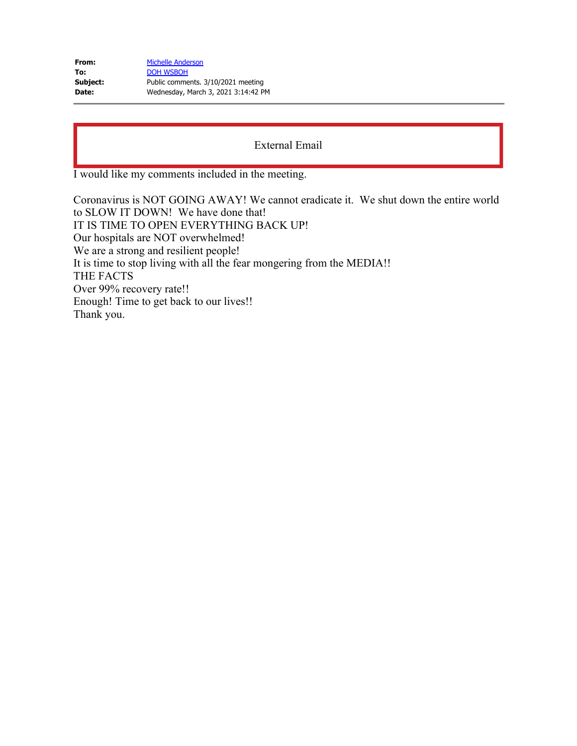| <b>Michelle Anderson</b>            |
|-------------------------------------|
| <b>DOH WSBOH</b>                    |
| Public comments. 3/10/2021 meeting  |
| Wednesday, March 3, 2021 3:14:42 PM |
|                                     |

I would like my comments included in the meeting.

Coronavirus is NOT GOING AWAY! We cannot eradicate it. We shut down the entire world to SLOW IT DOWN! We have done that! IT IS TIME TO OPEN EVERYTHING BACK UP! Our hospitals are NOT overwhelmed! We are a strong and resilient people! It is time to stop living with all the fear mongering from the MEDIA!! THE FACTS Over 99% recovery rate!! Enough! Time to get back to our lives!! Thank you.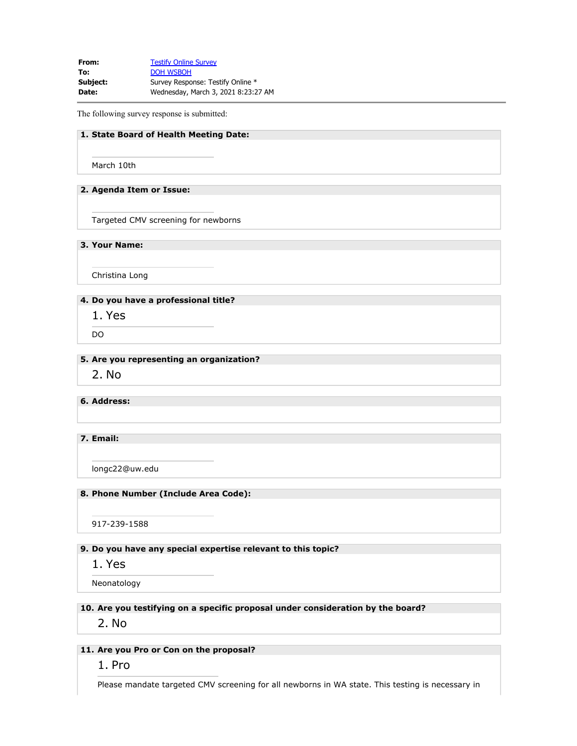**From:** [Testify Online Survey](mailto:SurveySupport@doh.wa.gov) To: **[DOH WSBOH](mailto:WSBOH@SBOH.WA.GOV) Subject:** Survey Response: Testify Online \* **Date:** Wednesday, March 3, 2021 8:23:27 AM

The following survey response is submitted:

### **1. State Board of Health Meeting Date:**

March 10th

#### **2. Agenda Item or Issue:**

Targeted CMV screening for newborns

**3. Your Name:**

Christina Long

## **4. Do you have a professional title?**

1. Yes

DO

#### **5. Are you representing an organization?**

2. No

### **6. Address:**

### **7. Email:**

longc22@uw.edu

#### **8. Phone Number (Include Area Code):**

917-239-1588

### **9. Do you have any special expertise relevant to this topic?**

1. Yes

Neonatology

#### **10. Are you testifying on a specific proposal under consideration by the board?**

2. No

## **11. Are you Pro or Con on the proposal?**

1. Pro

Please mandate targeted CMV screening for all newborns in WA state. This testing is necessary in